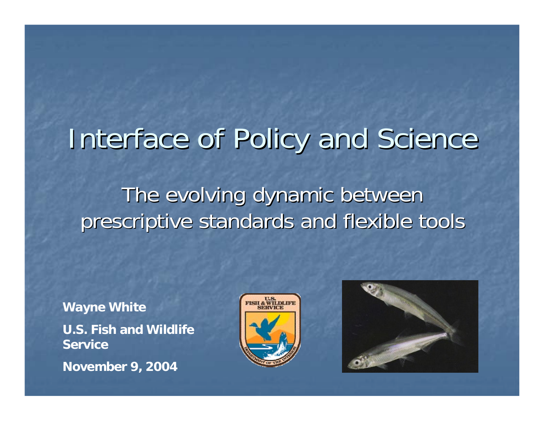# Interface of Policy and Science

#### The evolving dynamic between prescriptive standards and flexible tools

**Wayne White U.S. Fish and Wildlife ServiceNovember 9, 2004**



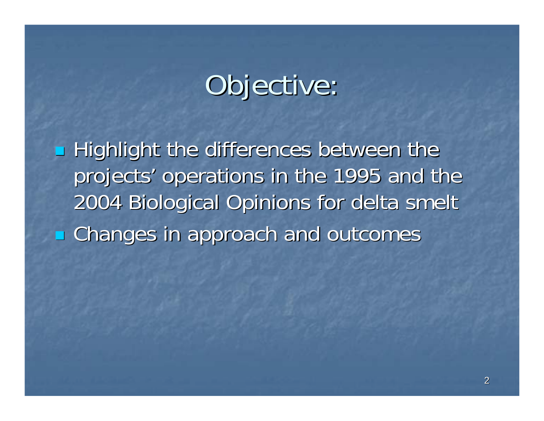# Objective:

**Highlight the differences between the Arighlight the differences between the** projects' operations in the 1995 and the 2004 Biological Opinions for delta smelt 2004 Biological Opinions for delta smelt **Examples in approach and outcomes**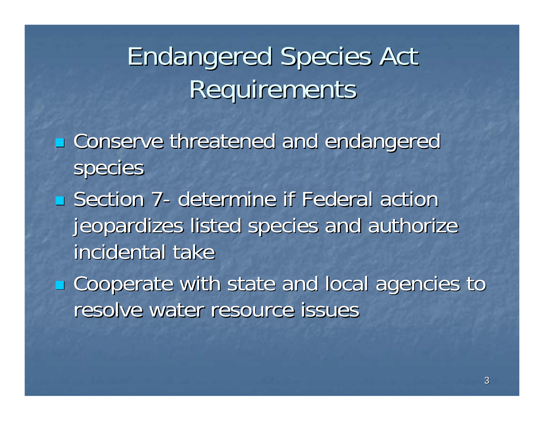# **Endangered Species Act** Requirements

- **Example 12 Conserve threatened and endangered** species
- $\blacksquare$  Section 7 -- determine if Federal action jeopardizes listed species and authorize incidental take
- **E** Cooperate with state and local agencies to resolve water resource issues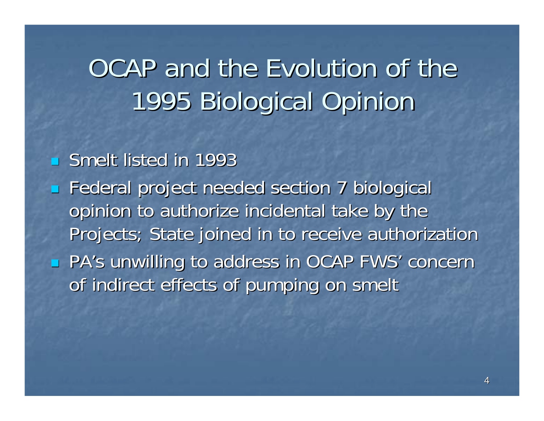## OCAP and the Evolution of the 1995 Biological Opinion 1995 Biological Opinion

#### **Smelt listed in 1993**

 $\blacksquare$ Federal project needed section 7 biological opinion to authorize incidental take by the Projects; State joined in to receive authorization F **PA's unwilling to address in OCAP FWS' concernediate** of indirect effects of pumping on smelt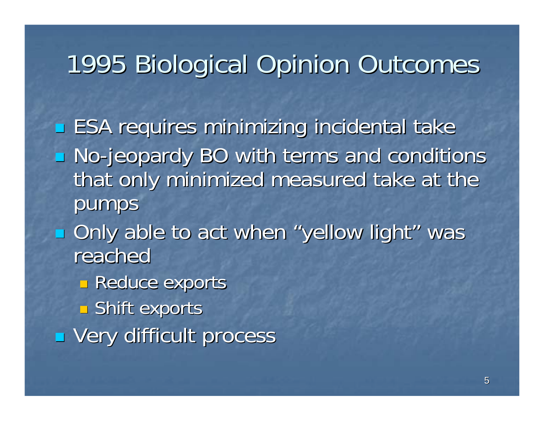## 1995 Biological Opinion Outcomes 1995 Biological Opinion Outcomes

**ESA requires minimizing incidental take - No-jeopardy BO with terms and conditions** that only minimized measured take at the pumps **Diate 10 act when "yellow light" was** 

reached

**Reduce exports** 

 $\blacksquare$  Shift exports

**U** Very difficult process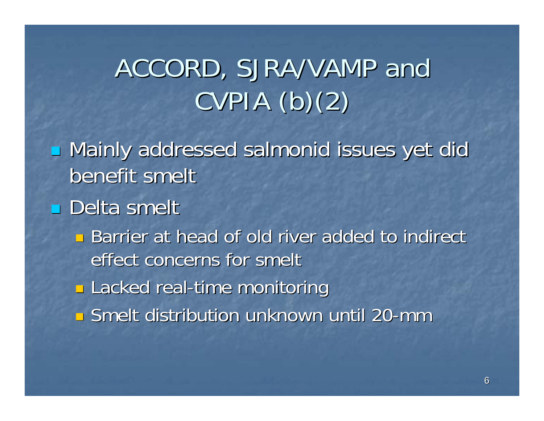# ACCORD, SJRA/VAMP and  $CVPIA$  (b)(2)

**u** Mainly addressed salmonid issues yet did benefit smelt

#### Delta smelt

- **Barrier at head of old river added to indirect** effect concerns for smelt
- **n** Lacked real-time monitoring
- **E** Smelt distribution unknown until 20-mm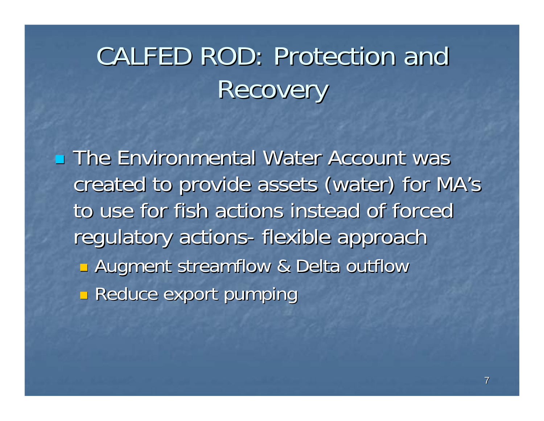# CALFED ROD: Protection and **Recovery**

**The Environmental Water Account was** created to provide assets (water) for MA's created to provide assets (water) for MA's to use for fish actions instead of forced regulatory actions- flexible approach **E** Augment streamflow & Delta outflow **Reduce export pumping**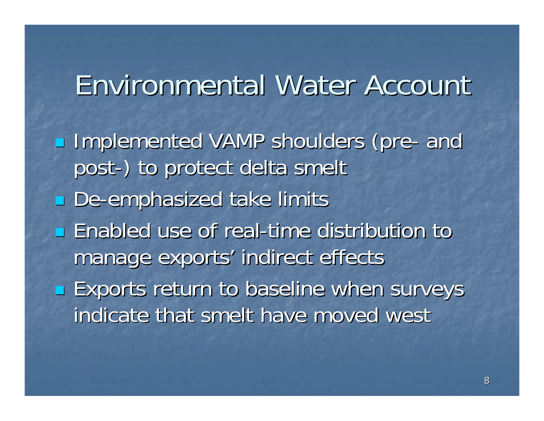### Environmental Water Account Environmental Water Account

**Implemented VAMP shoulders (pre**  and post -) to protect delta smelt ) to protect delta smelt **De-emphasized take limits Enabled use of real-time distribution to the use of real-time distribution to** manage exports' indirect effects **Exports return to baseline when surveys** indicate that smelt have moved west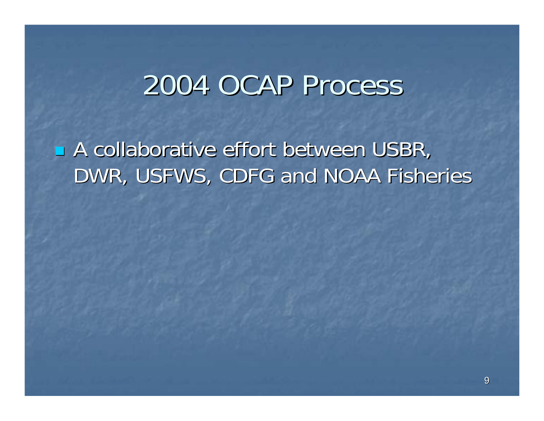## 2004 OCAP Process

L A collaborative effort between USBR, DWR, USFWS, CDFG and NOAA Fisheries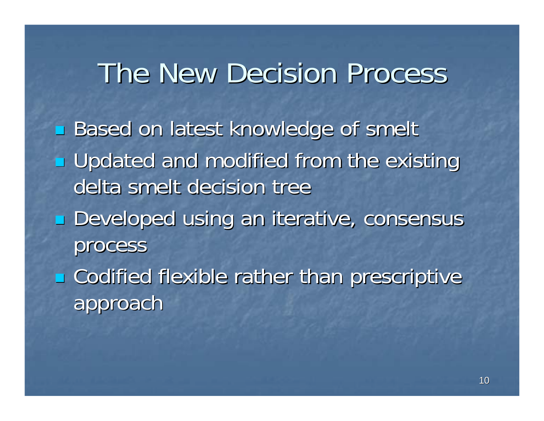## The New Decision Process

**Based on latest knowledge of smelt u** Updated and modified from the existing delta smelt decision tree **Developed using an iterative, consensus** process  $\blacksquare$  Codified flexible rather than prescriptive approach approach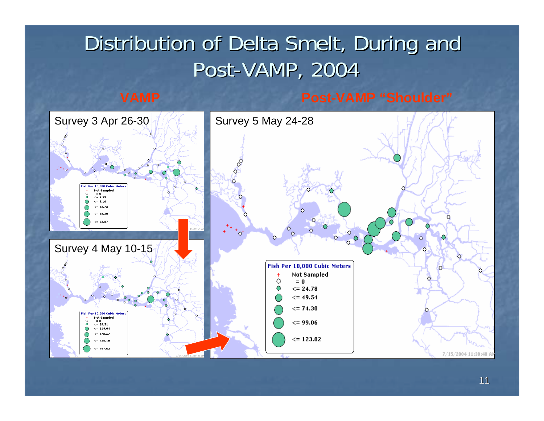#### Distribution of Delta Smelt, During and Post-VAMP, 2004

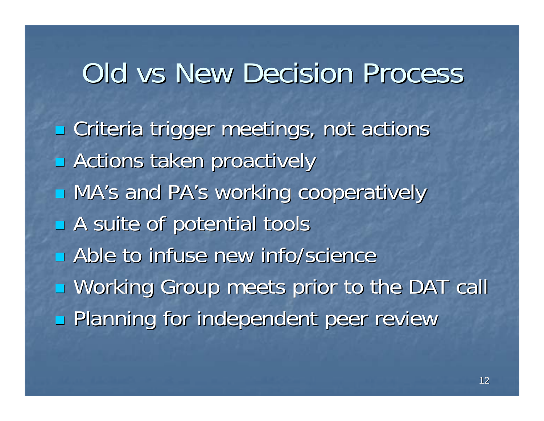## Old vs New Decision Process

**Examps** Criteria trigger meetings, not actions  $\blacksquare$  Actions taken proactively ■ MA's and PA's working cooperatively  $\blacksquare$  A suite of potential tools **E** Able to infuse new info/science **u** Working Group meets prior to the DAT call **Planning for independent peer review**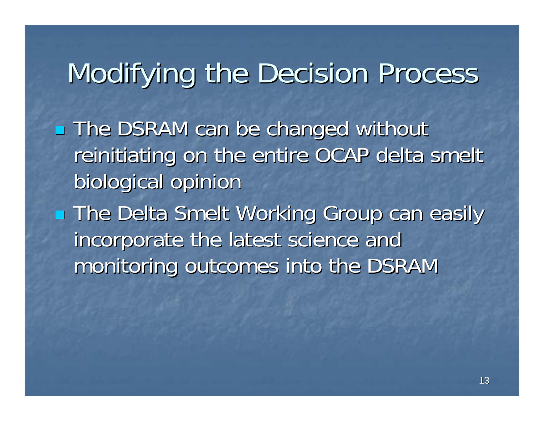# Modifying the Decision Process

**The DSRAM can be changed without** reinitiating on the entire OCAP delta smelt biological opinion

**The Delta Smelt Working Group can easily** incorporate the latest science and monitoring outcomes into the DSRAM monitoring outcomes into the DSRAM